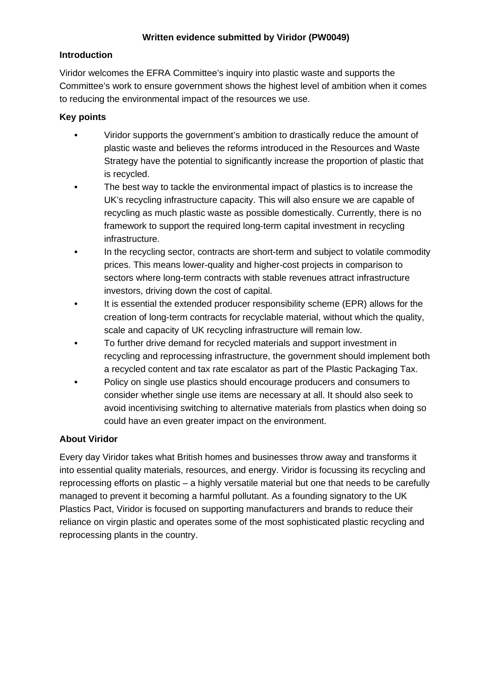### **Introduction**

Viridor welcomes the EFRA Committee's inquiry into plastic waste and supports the Committee's work to ensure government shows the highest level of ambition when it comes to reducing the environmental impact of the resources we use.

### **Key points**

- **•** Viridor supports the government's ambition to drastically reduce the amount of plastic waste and believes the reforms introduced in the Resources and Waste Strategy have the potential to significantly increase the proportion of plastic that is recycled.
- **•** The best way to tackle the environmental impact of plastics is to increase the UK's recycling infrastructure capacity. This will also ensure we are capable of recycling as much plastic waste as possible domestically. Currently, there is no framework to support the required long-term capital investment in recycling infrastructure.
- In the recycling sector, contracts are short-term and subject to volatile commodity prices. This means lower-quality and higher-cost projects in comparison to sectors where long-term contracts with stable revenues attract infrastructure investors, driving down the cost of capital.
- **•** It is essential the extended producer responsibility scheme (EPR) allows for the creation of long-term contracts for recyclable material, without which the quality, scale and capacity of UK recycling infrastructure will remain low.
- **•** To further drive demand for recycled materials and support investment in recycling and reprocessing infrastructure, the government should implement both a recycled content and tax rate escalator as part of the Plastic Packaging Tax.
- **•** Policy on single use plastics should encourage producers and consumers to consider whether single use items are necessary at all. It should also seek to avoid incentivising switching to alternative materials from plastics when doing so could have an even greater impact on the environment.

### **About Viridor**

Every day Viridor takes what British homes and businesses throw away and transforms it into essential quality materials, resources, and energy. Viridor is focussing its recycling and reprocessing efforts on plastic – a highly versatile material but one that needs to be carefully managed to prevent it becoming a harmful pollutant. As a founding signatory to the UK Plastics Pact, Viridor is focused on supporting manufacturers and brands to reduce their reliance on virgin plastic and operates some of the most sophisticated plastic recycling and reprocessing plants in the country.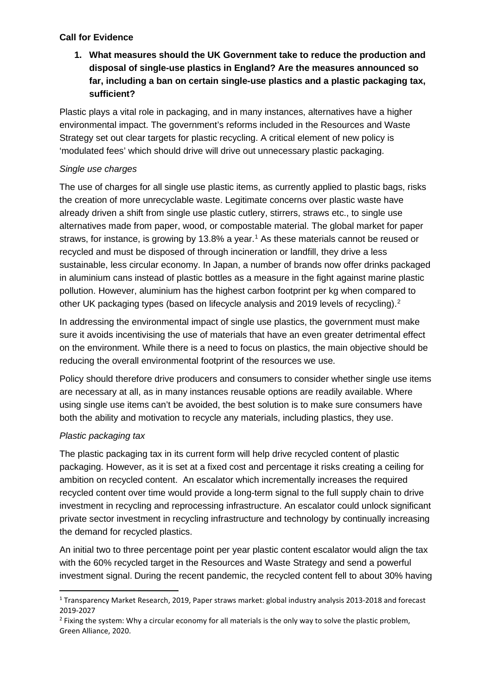### **Call for Evidence**

**1. What measures should the UK Government take to reduce the production and disposal of single-use plastics in England? Are the measures announced so far, including a ban on certain single-use plastics and a plastic packaging tax, sufficient?**

Plastic plays a vital role in packaging, and in many instances, alternatives have a higher environmental impact. The government's reforms included in the Resources and Waste Strategy set out clear targets for plastic recycling. A critical element of new policy is 'modulated fees' which should drive will drive out unnecessary plastic packaging.

## *Single use charges*

The use of charges for all single use plastic items, as currently applied to plastic bags, risks the creation of more unrecyclable waste. Legitimate concerns over plastic waste have already driven a shift from single use plastic cutlery, stirrers, straws etc., to single use alternatives made from paper, wood, or compostable material. The global market for paper straws, for instance, is growing by [1](#page-1-0)3.8% a year.<sup>1</sup> As these materials cannot be reused or recycled and must be disposed of through incineration or landfill, they drive a less sustainable, less circular economy. In Japan, a number of brands now offer drinks packaged in aluminium cans instead of plastic bottles as a measure in the fight against marine plastic pollution. However, aluminium has the highest carbon footprint per kg when compared to other UK packaging types (based on lifecycle analysis and [2](#page-1-1)019 levels of recycling).<sup>2</sup>

In addressing the environmental impact of single use plastics, the government must make sure it avoids incentivising the use of materials that have an even greater detrimental effect on the environment. While there is a need to focus on plastics, the main objective should be reducing the overall environmental footprint of the resources we use.

Policy should therefore drive producers and consumers to consider whether single use items are necessary at all, as in many instances reusable options are readily available. Where using single use items can't be avoided, the best solution is to make sure consumers have both the ability and motivation to recycle any materials, including plastics, they use.

## *Plastic packaging tax*

The plastic packaging tax in its current form will help drive recycled content of plastic packaging. However, as it is set at a fixed cost and percentage it risks creating a ceiling for ambition on recycled content. An escalator which incrementally increases the required recycled content over time would provide a long-term signal to the full supply chain to drive investment in recycling and reprocessing infrastructure. An escalator could unlock significant private sector investment in recycling infrastructure and technology by continually increasing the demand for recycled plastics.

An initial two to three percentage point per year plastic content escalator would align the tax with the 60% recycled target in the Resources and Waste Strategy and send a powerful investment signal. During the recent pandemic, the recycled content fell to about 30% having

<span id="page-1-0"></span><sup>1</sup> Transparency Market Research, 2019, Paper straws market: global industry analysis 2013-2018 and forecast 2019-2027

<span id="page-1-1"></span><sup>&</sup>lt;sup>2</sup> Fixing the system: Why a circular economy for all materials is the only way to solve the plastic problem, Green Alliance, 2020.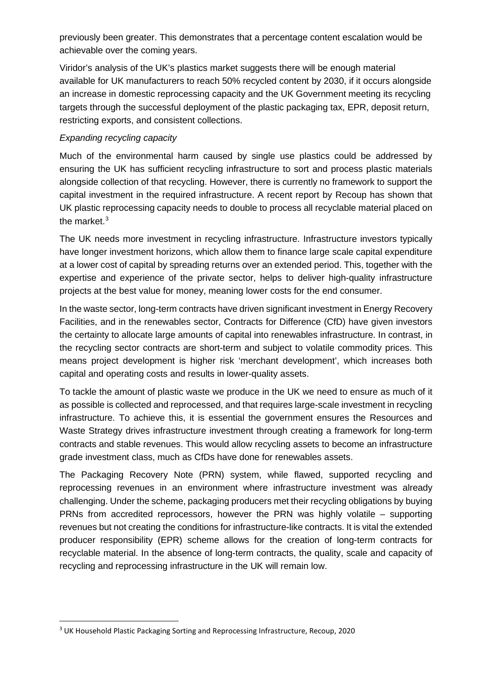previously been greater. This demonstrates that a percentage content escalation would be achievable over the coming years.

Viridor's analysis of the UK's plastics market suggests there will be enough material available for UK manufacturers to reach 50% recycled content by 2030, if it occurs alongside an increase in domestic reprocessing capacity and the UK Government meeting its recycling targets through the successful deployment of the plastic packaging tax, EPR, deposit return, restricting exports, and consistent collections.

### *Expanding recycling capacity*

Much of the environmental harm caused by single use plastics could be addressed by ensuring the UK has sufficient recycling infrastructure to sort and process plastic materials alongside collection of that recycling. However, there is currently no framework to support the capital investment in the required infrastructure. A recent report by Recoup has shown that UK plastic reprocessing capacity needs to double to process all recyclable material placed on the market.<sup>[3](#page-2-0)</sup>

The UK needs more investment in recycling infrastructure. Infrastructure investors typically have longer investment horizons, which allow them to finance large scale capital expenditure at a lower cost of capital by spreading returns over an extended period. This, together with the expertise and experience of the private sector, helps to deliver high-quality infrastructure projects at the best value for money, meaning lower costs for the end consumer.

In the waste sector, long-term contracts have driven significant investment in Energy Recovery Facilities, and in the renewables sector, Contracts for Difference (CfD) have given investors the certainty to allocate large amounts of capital into renewables infrastructure. In contrast, in the recycling sector contracts are short-term and subject to volatile commodity prices. This means project development is higher risk 'merchant development', which increases both capital and operating costs and results in lower-quality assets.

To tackle the amount of plastic waste we produce in the UK we need to ensure as much of it as possible is collected and reprocessed, and that requires large-scale investment in recycling infrastructure. To achieve this, it is essential the government ensures the Resources and Waste Strategy drives infrastructure investment through creating a framework for long-term contracts and stable revenues. This would allow recycling assets to become an infrastructure grade investment class, much as CfDs have done for renewables assets.

The Packaging Recovery Note (PRN) system, while flawed, supported recycling and reprocessing revenues in an environment where infrastructure investment was already challenging. Under the scheme, packaging producers met their recycling obligations by buying PRNs from accredited reprocessors, however the PRN was highly volatile – supporting revenues but not creating the conditions for infrastructure-like contracts. It is vital the extended producer responsibility (EPR) scheme allows for the creation of long-term contracts for recyclable material. In the absence of long-term contracts, the quality, scale and capacity of recycling and reprocessing infrastructure in the UK will remain low.

<span id="page-2-0"></span><sup>&</sup>lt;sup>3</sup> UK Household Plastic Packaging Sorting and Reprocessing Infrastructure, Recoup, 2020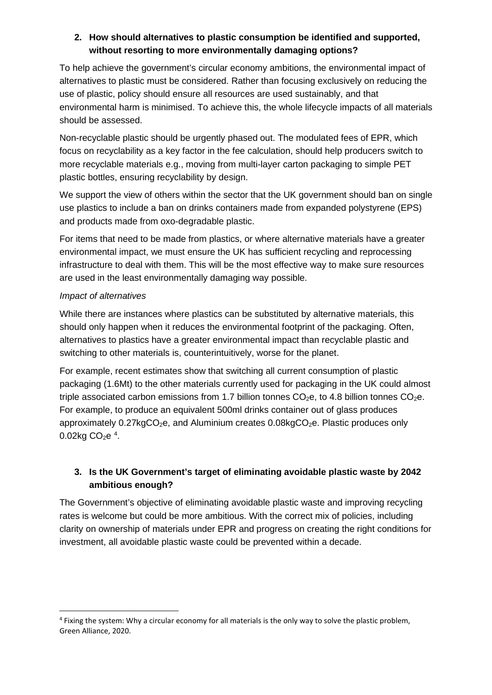## **2. How should alternatives to plastic consumption be identified and supported, without resorting to more environmentally damaging options?**

To help achieve the government's circular economy ambitions, the environmental impact of alternatives to plastic must be considered. Rather than focusing exclusively on reducing the use of plastic, policy should ensure all resources are used sustainably, and that environmental harm is minimised. To achieve this, the whole lifecycle impacts of all materials should be assessed.

Non-recyclable plastic should be urgently phased out. The modulated fees of EPR, which focus on recyclability as a key factor in the fee calculation, should help producers switch to more recyclable materials e.g., moving from multi-layer carton packaging to simple PET plastic bottles, ensuring recyclability by design.

We support the view of others within the sector that the UK government should ban on single use plastics to include a ban on drinks containers made from expanded polystyrene (EPS) and products made from oxo-degradable plastic.

For items that need to be made from plastics, or where alternative materials have a greater environmental impact, we must ensure the UK has sufficient recycling and reprocessing infrastructure to deal with them. This will be the most effective way to make sure resources are used in the least environmentally damaging way possible.

## *Impact of alternatives*

While there are instances where plastics can be substituted by alternative materials, this should only happen when it reduces the environmental footprint of the packaging. Often, alternatives to plastics have a greater environmental impact than recyclable plastic and switching to other materials is, counterintuitively, worse for the planet.

For example, recent estimates show that switching all current consumption of plastic packaging (1.6Mt) to the other materials currently used for packaging in the UK could almost triple associated carbon emissions from 1.7 billion tonnes  $CO<sub>2</sub>e$ , to 4.8 billion tonnes  $CO<sub>2</sub>e$ . For example, to produce an equivalent 500ml drinks container out of glass produces approximately  $0.27$ kgCO<sub>2</sub>e, and Aluminium creates  $0.08$ kgCO<sub>2</sub>e. Plastic produces only  $0.02$ kg CO<sub>2</sub>e<sup>[4](#page-3-0)</sup>.

# **3. Is the UK Government's target of eliminating avoidable plastic waste by 2042 ambitious enough?**

The Government's objective of eliminating avoidable plastic waste and improving recycling rates is welcome but could be more ambitious. With the correct mix of policies, including clarity on ownership of materials under EPR and progress on creating the right conditions for investment, all avoidable plastic waste could be prevented within a decade.

<span id="page-3-0"></span><sup>4</sup> Fixing the system: Why a circular economy for all materials is the only way to solve the plastic problem, Green Alliance, 2020.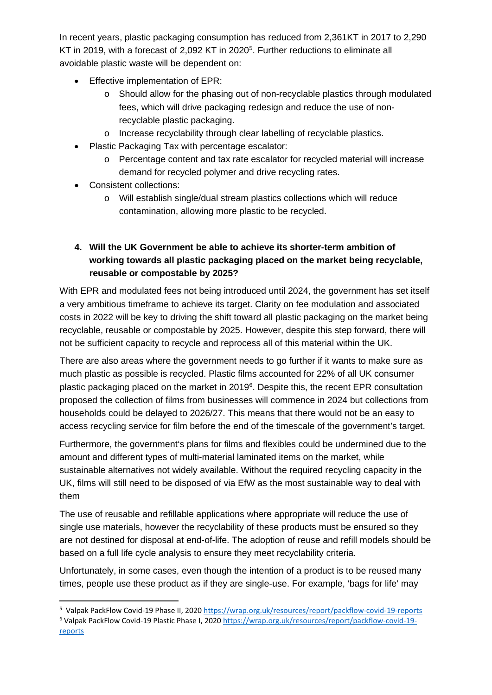In recent years, plastic packaging consumption has reduced from 2,361KT in 2017 to 2,290 KT in 2019, with a forecast of 2,092 KT in 2020<sup>[5](#page-4-0)</sup>. Further reductions to eliminate all avoidable plastic waste will be dependent on:

- Effective implementation of EPR:
	- o Should allow for the phasing out of non-recyclable plastics through modulated fees, which will drive packaging redesign and reduce the use of nonrecyclable plastic packaging.
	- o Increase recyclability through clear labelling of recyclable plastics.
- Plastic Packaging Tax with percentage escalator:
	- o Percentage content and tax rate escalator for recycled material will increase demand for recycled polymer and drive recycling rates.
- Consistent collections:
	- o Will establish single/dual stream plastics collections which will reduce contamination, allowing more plastic to be recycled.

# **4. Will the UK Government be able to achieve its shorter-term ambition of working towards all plastic packaging placed on the market being recyclable, reusable or compostable by 2025?**

With EPR and modulated fees not being introduced until 2024, the government has set itself a very ambitious timeframe to achieve its target. Clarity on fee modulation and associated costs in 2022 will be key to driving the shift toward all plastic packaging on the market being recyclable, reusable or compostable by 2025. However, despite this step forward, there will not be sufficient capacity to recycle and reprocess all of this material within the UK.

There are also areas where the government needs to go further if it wants to make sure as much plastic as possible is recycled. Plastic films accounted for 22% of all UK consumer plastic packaging placed on the market in 2019<sup>[6](#page-4-1)</sup>. Despite this, the recent EPR consultation proposed the collection of films from businesses will commence in 2024 but collections from households could be delayed to 2026/27. This means that there would not be an easy to access recycling service for film before the end of the timescale of the government's target.

Furthermore, the government's plans for films and flexibles could be undermined due to the amount and different types of multi-material laminated items on the market, while sustainable alternatives not widely available. Without the required recycling capacity in the UK, films will still need to be disposed of via EfW as the most sustainable way to deal with them

The use of reusable and refillable applications where appropriate will reduce the use of single use materials, however the recyclability of these products must be ensured so they are not destined for disposal at end-of-life. The adoption of reuse and refill models should be based on a full life cycle analysis to ensure they meet recyclability criteria.

Unfortunately, in some cases, even though the intention of a product is to be reused many times, people use these product as if they are single-use. For example, 'bags for life' may

<sup>&</sup>lt;sup>5</sup> Valpak PackFlow Covid-19 Phase II, 2020 <https://wrap.org.uk/resources/report/packflow-covid-19-reports>

<span id="page-4-1"></span><span id="page-4-0"></span><sup>&</sup>lt;sup>6</sup> Valpak PackFlow Covid-19 Plastic Phase I, 2020 [https://wrap.org.uk/resources/report/packflow-covid-19](https://wrap.org.uk/resources/report/packflow-covid-19-reports) [reports](https://wrap.org.uk/resources/report/packflow-covid-19-reports)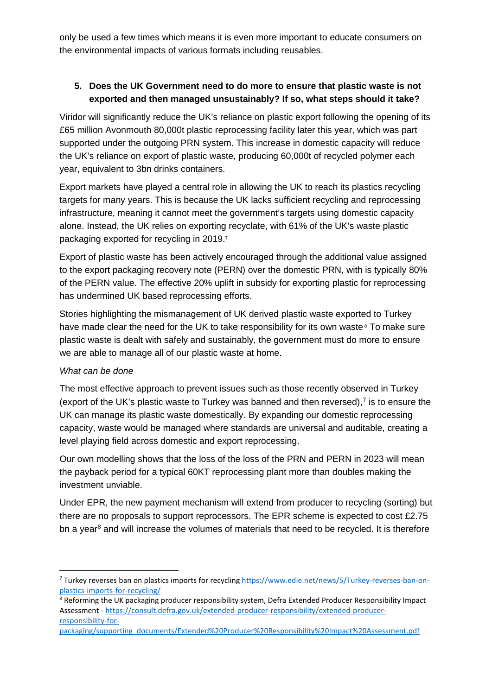only be used a few times which means it is even more important to educate consumers on the environmental impacts of various formats including reusables.

## **5. Does the UK Government need to do more to ensure that plastic waste is not exported and then managed unsustainably? If so, what steps should it take?**

Viridor will significantly reduce the UK's reliance on plastic export following the opening of its £65 million Avonmouth 80,000t plastic reprocessing facility later this year, which was part supported under the outgoing PRN system. This increase in domestic capacity will reduce the UK's reliance on export of plastic waste, producing 60,000t of recycled polymer each year, equivalent to 3bn drinks containers.

Export markets have played a central role in allowing the UK to reach its plastics recycling targets for many years. This is because the UK lacks sufficient recycling and reprocessing infrastructure, meaning it cannot meet the government's targets using domestic capacity alone. Instead, the UK relies on exporting recyclate, with 61% of the UK's waste plastic packaging exported for recycling in 2019.7

Export of plastic waste has been actively encouraged through the additional value assigned to the export packaging recovery note (PERN) over the domestic PRN, with is typically 80% of the PERN value. The effective 20% uplift in subsidy for exporting plastic for reprocessing has undermined UK based reprocessing efforts.

Stories highlighting the mismanagement of UK derived plastic waste exported to Turkey have made clear the need for the UK to take responsibility for its own waste<sup>8</sup> To make sure plastic waste is dealt with safely and sustainably, the government must do more to ensure we are able to manage all of our plastic waste at home.

### *What can be done*

The most effective approach to prevent issues such as those recently observed in Turkey (export of the UK's plastic waste to Turkey was banned and then reversed),<sup>[7](#page-5-0)</sup> is to ensure the UK can manage its plastic waste domestically. By expanding our domestic reprocessing capacity, waste would be managed where standards are universal and auditable, creating a level playing field across domestic and export reprocessing.

Our own modelling shows that the loss of the loss of the PRN and PERN in 2023 will mean the payback period for a typical 60KT reprocessing plant more than doubles making the investment unviable.

Under EPR, the new payment mechanism will extend from producer to recycling (sorting) but there are no proposals to support reprocessors. The EPR scheme is expected to cost £2.75 bn a year<sup>[8](#page-5-1)</sup> and will increase the volumes of materials that need to be recycled. It is therefore

<span id="page-5-0"></span><sup>7</sup> Turkey reverses ban on plastics imports for recycling [https://www.edie.net/news/5/Turkey-reverses-ban-on](https://www.edie.net/news/5/Turkey-reverses-ban-on-plastics-imports-for-recycling/)[plastics-imports-for-recycling/](https://www.edie.net/news/5/Turkey-reverses-ban-on-plastics-imports-for-recycling/)

<span id="page-5-1"></span><sup>&</sup>lt;sup>8</sup> Reforming the UK packaging producer responsibility system, Defra Extended Producer Responsibility Impact Assessment - [https://consult.defra.gov.uk/extended-producer-responsibility/extended-producer](https://consult.defra.gov.uk/extended-producer-responsibility/extended-producer-responsibility-for-packaging/supporting_documents/Extended%20Producer%20Responsibility%20Impact%20Assessment.pdf)[responsibility-for-](https://consult.defra.gov.uk/extended-producer-responsibility/extended-producer-responsibility-for-packaging/supporting_documents/Extended%20Producer%20Responsibility%20Impact%20Assessment.pdf)

[packaging/supporting\\_documents/Extended%20Producer%20Responsibility%20Impact%20Assessment.pdf](https://consult.defra.gov.uk/extended-producer-responsibility/extended-producer-responsibility-for-packaging/supporting_documents/Extended%20Producer%20Responsibility%20Impact%20Assessment.pdf)